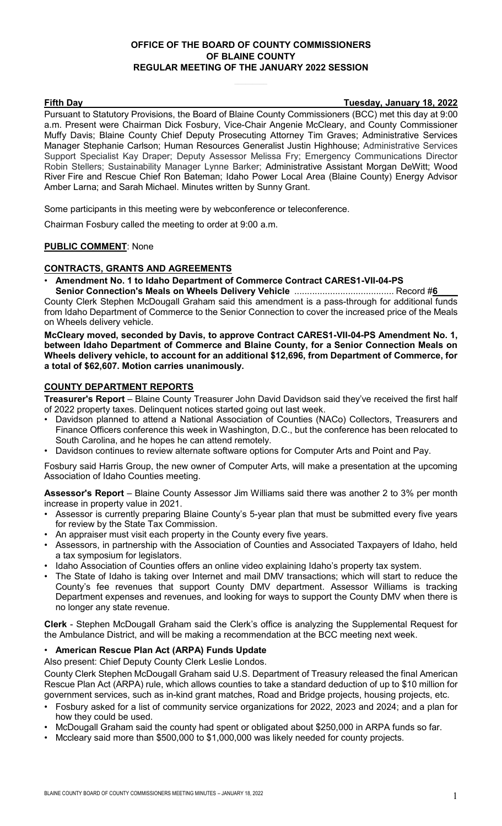# **OFFICE OF THE BOARD OF COUNTY COMMISSIONERS OF BLAINE COUNTY REGULAR MEETING OF THE JANUARY 2022 SESSION**

**Fifth Day Tuesday, January 18, 2022**

Pursuant to Statutory Provisions, the Board of Blaine County Commissioners (BCC) met this day at 9:00 a.m. Present were Chairman Dick Fosbury, Vice-Chair Angenie McCleary, and County Commissioner Muffy Davis; Blaine County Chief Deputy Prosecuting Attorney Tim Graves; Administrative Services Manager Stephanie Carlson; Human Resources Generalist Justin Highhouse; Administrative Services Support Specialist Kay Draper; Deputy Assessor Melissa Fry; Emergency Communications Director Robin Stellers; Sustainability Manager Lynne Barker; Administrative Assistant Morgan DeWitt; Wood River Fire and Rescue Chief Ron Bateman; Idaho Power Local Area (Blaine County) Energy Advisor Amber Larna; and Sarah Michael. Minutes written by Sunny Grant.

Some participants in this meeting were by webconference or teleconference.

Chairman Fosbury called the meeting to order at 9:00 a.m.

# **PUBLIC COMMENT**: None

## **CONTRACTS, GRANTS AND AGREEMENTS**

• **Amendment No. 1 to Idaho Department of Commerce Contract CARES1-VII-04-PS** 

**Senior Connection's Meals on Wheels Delivery Vehicle** ....................................... Record #**6\_\_\_\_** County Clerk Stephen McDougall Graham said this amendment is a pass-through for additional funds from Idaho Department of Commerce to the Senior Connection to cover the increased price of the Meals on Wheels delivery vehicle.

**McCleary moved, seconded by Davis, to approve Contract CARES1-VII-04-PS Amendment No. 1, between Idaho Department of Commerce and Blaine County, for a Senior Connection Meals on Wheels delivery vehicle, to account for an additional \$12,696, from Department of Commerce, for a total of \$62,607. Motion carries unanimously.**

## **COUNTY DEPARTMENT REPORTS**

**Treasurer's Report** – Blaine County Treasurer John David Davidson said they've received the first half of 2022 property taxes. Delinquent notices started going out last week.

- Davidson planned to attend a National Association of Counties (NACo) Collectors, Treasurers and Finance Officers conference this week in Washington, D.C., but the conference has been relocated to South Carolina, and he hopes he can attend remotely.
- Davidson continues to review alternate software options for Computer Arts and Point and Pay.

Fosbury said Harris Group, the new owner of Computer Arts, will make a presentation at the upcoming Association of Idaho Counties meeting.

**Assessor's Report** – Blaine County Assessor Jim Williams said there was another 2 to 3% per month increase in property value in 2021.

- Assessor is currently preparing Blaine County's 5-year plan that must be submitted every five years for review by the State Tax Commission.
- An appraiser must visit each property in the County every five years.
- Assessors, in partnership with the Association of Counties and Associated Taxpayers of Idaho, held a tax symposium for legislators.
- Idaho Association of Counties offers an online video explaining Idaho's property tax system.
- The State of Idaho is taking over Internet and mail DMV transactions; which will start to reduce the County's fee revenues that support County DMV department. Assessor Williams is tracking Department expenses and revenues, and looking for ways to support the County DMV when there is no longer any state revenue.

**Clerk** - Stephen McDougall Graham said the Clerk's office is analyzing the Supplemental Request for the Ambulance District, and will be making a recommendation at the BCC meeting next week.

# • **American Rescue Plan Act (ARPA) Funds Update**

Also present: Chief Deputy County Clerk Leslie Londos.

County Clerk Stephen McDougall Graham said U.S. Department of Treasury released the final American Rescue Plan Act (ARPA) rule, which allows counties to take a standard deduction of up to \$10 million for government services, such as in-kind grant matches, Road and Bridge projects, housing projects, etc.

- Fosbury asked for a list of community service organizations for 2022, 2023 and 2024; and a plan for how they could be used.
- McDougall Graham said the county had spent or obligated about \$250,000 in ARPA funds so far.
- Mccleary said more than \$500,000 to \$1,000,000 was likely needed for county projects.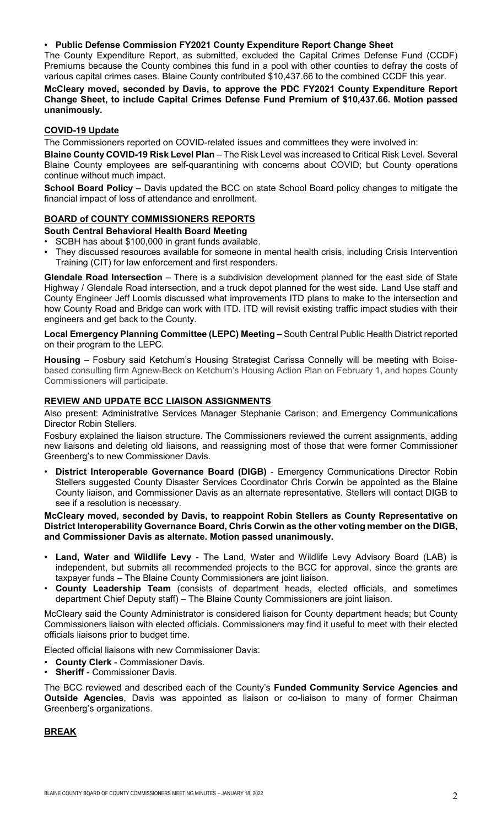## • **Public Defense Commission FY2021 County Expenditure Report Change Sheet**

The County Expenditure Report, as submitted, excluded the Capital Crimes Defense Fund (CCDF) Premiums because the County combines this fund in a pool with other counties to defray the costs of various capital crimes cases. Blaine County contributed \$10,437.66 to the combined CCDF this year.

## **McCleary moved, seconded by Davis, to approve the PDC FY2021 County Expenditure Report Change Sheet, to include Capital Crimes Defense Fund Premium of \$10,437.66. Motion passed unanimously.**

# **COVID-19 Update**

The Commissioners reported on COVID-related issues and committees they were involved in:

**Blaine County COVID-19 Risk Level Plan** – The Risk Level was increased to Critical Risk Level. Several Blaine County employees are self-quarantining with concerns about COVID; but County operations continue without much impact.

**School Board Policy** – Davis updated the BCC on state School Board policy changes to mitigate the financial impact of loss of attendance and enrollment.

# **BOARD of COUNTY COMMISSIONERS REPORTS**

**South Central Behavioral Health Board Meeting**

- SCBH has about \$100,000 in grant funds available.
- They discussed resources available for someone in mental health crisis, including Crisis Intervention Training (CIT) for law enforcement and first responders.

**Glendale Road Intersection** – There is a subdivision development planned for the east side of State Highway / Glendale Road intersection, and a truck depot planned for the west side. Land Use staff and County Engineer Jeff Loomis discussed what improvements ITD plans to make to the intersection and how County Road and Bridge can work with ITD. ITD will revisit existing traffic impact studies with their engineers and get back to the County.

**Local Emergency Planning Committee (LEPC) Meeting –** South Central Public Health District reported on their program to the LEPC.

**Housing** – Fosbury said Ketchum's Housing Strategist Carissa Connelly will be meeting with Boisebased consulting firm Agnew-Beck on Ketchum's Housing Action Plan on February 1, and hopes County Commissioners will participate.

# **REVIEW AND UPDATE BCC LIAISON ASSIGNMENTS**

Also present: Administrative Services Manager Stephanie Carlson; and Emergency Communications Director Robin Stellers.

Fosbury explained the liaison structure. The Commissioners reviewed the current assignments, adding new liaisons and deleting old liaisons, and reassigning most of those that were former Commissioner Greenberg's to new Commissioner Davis.

• **District Interoperable Governance Board (DIGB)** - Emergency Communications Director Robin Stellers suggested County Disaster Services Coordinator Chris Corwin be appointed as the Blaine County liaison, and Commissioner Davis as an alternate representative. Stellers will contact DIGB to see if a resolution is necessary.

#### **McCleary moved, seconded by Davis, to reappoint Robin Stellers as County Representative on District Interoperability Governance Board, Chris Corwin as the other voting member on the DIGB, and Commissioner Davis as alternate. Motion passed unanimously.**

- **Land, Water and Wildlife Levy** The Land, Water and Wildlife Levy Advisory Board (LAB) is independent, but submits all recommended projects to the BCC for approval, since the grants are taxpayer funds – The Blaine County Commissioners are joint liaison.
- **County Leadership Team** (consists of department heads, elected officials, and sometimes department Chief Deputy staff) – The Blaine County Commissioners are joint liaison.

McCleary said the County Administrator is considered liaison for County department heads; but County Commissioners liaison with elected officials. Commissioners may find it useful to meet with their elected officials liaisons prior to budget time.

Elected official liaisons with new Commissioner Davis:

- **County Clerk** Commissioner Davis.
- **Sheriff** Commissioner Davis.

The BCC reviewed and described each of the County's **Funded Community Service Agencies and Outside Agencies**, Davis was appointed as liaison or co-liaison to many of former Chairman Greenberg's organizations.

# **BREAK**